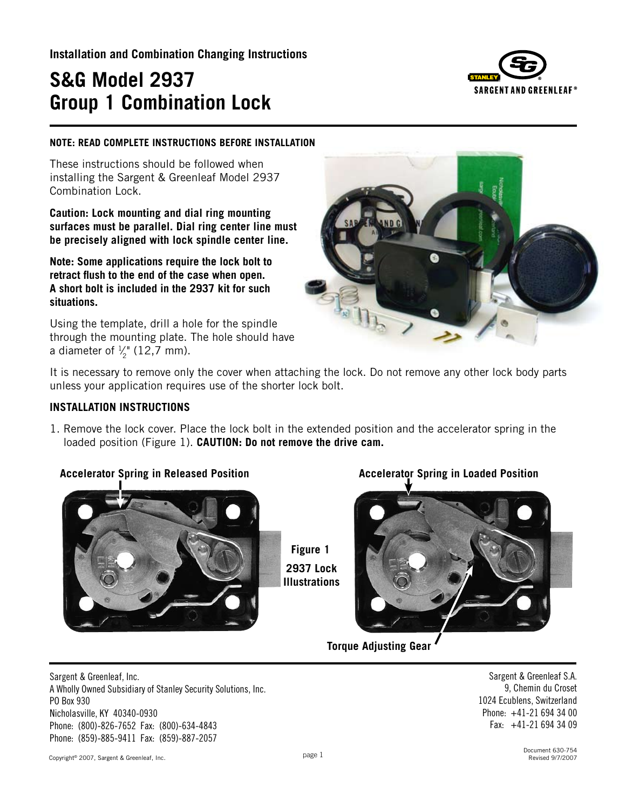**Installation and Combination Changing Instructions**

# **S&G Model 2937 Group 1 Combination Lock**



#### **NOTE: READ COMPLETE INSTRUCTIONS BEFORE INSTALLATION**

These instructions should be followed when installing the Sargent & Greenleaf Model 2937 Combination Lock.

**Caution: Lock mounting and dial ring mounting surfaces must be parallel. Dial ring center line must be precisely aligned with lock spindle center line.**

**Note: Some applications require the lock bolt to retract flush to the end of the case when open. A short bolt is included in the 2937 kit for such situations.**

Using the template, drill a hole for the spindle through the mounting plate. The hole should have a diameter of  $\frac{1}{2}$ " (12,7 mm).



It is necessary to remove only the cover when attaching the lock. Do not remove any other lock body parts unless your application requires use of the shorter lock bolt.

#### **INSTALLATION INSTRUCTIONS**

1. Remove the lock cover. Place the lock bolt in the extended position and the accelerator spring in the loaded position (Figure 1). **CAUTION: Do not remove the drive cam.**

# **Accelerator Spring in Released Position Accelerator Spring in Loaded Position**



**Figure 1 2937 Lock Illustrations**



**Torque Adjusting Gear**

Sargent & Greenleaf, Inc. A Wholly Owned Subsidiary of Stanley Security Solutions, Inc. PO Box 930 Nicholasville, KY 40340-0930 Phone: (800)-826-7652 Fax: (800)-634-4843 Phone: (859)-885-9411 Fax: (859)-887-2057

Sargent & Greenleaf S.A. 9, Chemin du Croset 1024 Ecublens, Switzerland Phone: +41-21 694 34 00 Fax: +41-21 694 34 09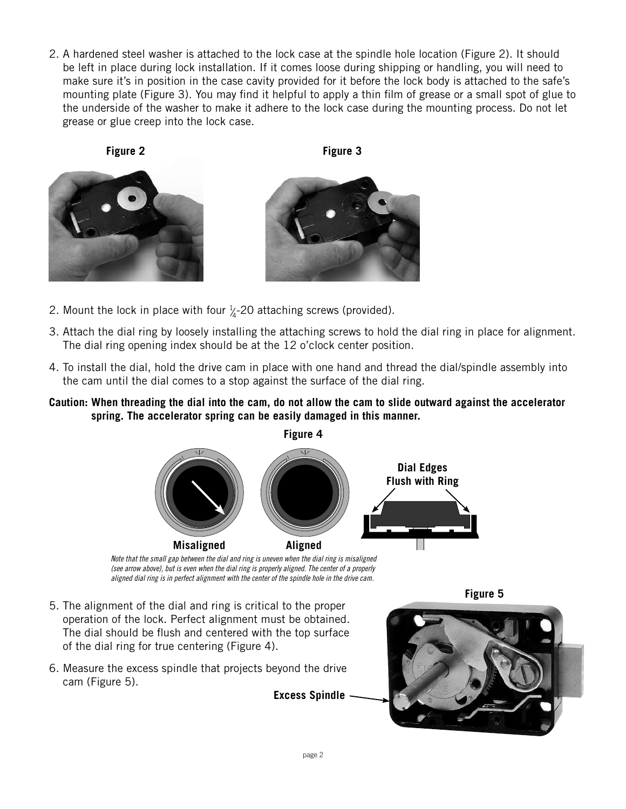2. A hardened steel washer is attached to the lock case at the spindle hole location (Figure 2). It should be left in place during lock installation. If it comes loose during shipping or handling, you will need to make sure it's in position in the case cavity provided for it before the lock body is attached to the safe's mounting plate (Figure 3). You may find it helpful to apply a thin film of grease or a small spot of glue to the underside of the washer to make it adhere to the lock case during the mounting process. Do not let grease or glue creep into the lock case.

**Figure 2 Figure 3**





- 2. Mount the lock in place with four  $\frac{1}{4}$ -20 attaching screws (provided). ⁄
- 3. Attach the dial ring by loosely installing the attaching screws to hold the dial ring in place for alignment. The dial ring opening index should be at the 12 o'clock center position.
- 4. To install the dial, hold the drive cam in place with one hand and thread the dial/spindle assembly into the cam until the dial comes to a stop against the surface of the dial ring.
- **Caution: When threading the dial into the cam, do not allow the cam to slide outward against the accelerator spring. The accelerator spring can be easily damaged in this manner.**



*(see arrow above), but is even when the dial ring is properly aligned. The center of a properly aligned dial ring is in perfect alignment with the center of the spindle hole in the drive cam.*

- 5. The alignment of the dial and ring is critical to the proper operation of the lock. Perfect alignment must be obtained. The dial should be flush and centered with the top surface of the dial ring for true centering (Figure 4).
- 6. Measure the excess spindle that projects beyond the drive cam (Figure 5).

**Figure 5**

**Excess Spindle**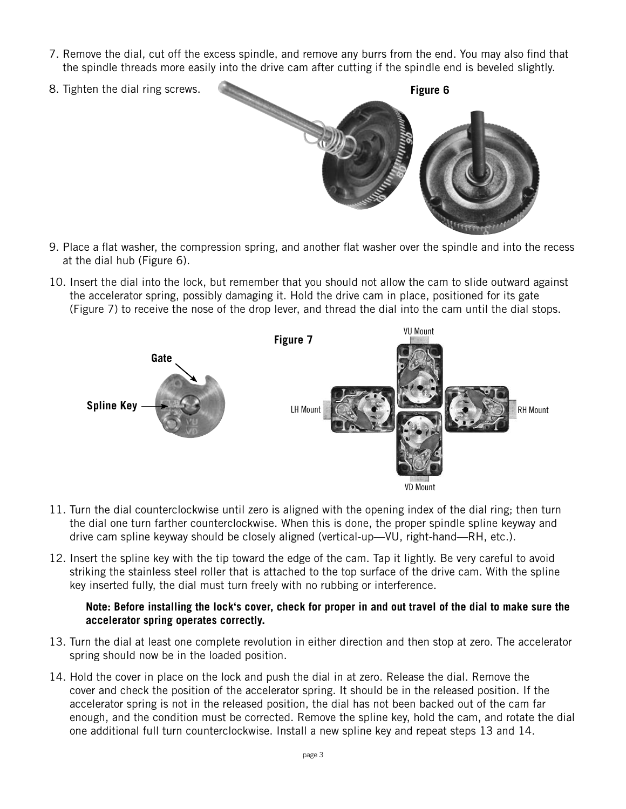- 7. Remove the dial, cut off the excess spindle, and remove any burrs from the end. You may also find that the spindle threads more easily into the drive cam after cutting if the spindle end is beveled slightly.
- 



- 9. Place a flat washer, the compression spring, and another flat washer over the spindle and into the recess at the dial hub (Figure 6).
- 10. Insert the dial into the lock, but remember that you should not allow the cam to slide outward against the accelerator spring, possibly damaging it. Hold the drive cam in place, positioned for its gate (Figure 7) to receive the nose of the drop lever, and thread the dial into the cam until the dial stops.



- 11. Turn the dial counterclockwise until zero is aligned with the opening index of the dial ring; then turn the dial one turn farther counterclockwise. When this is done, the proper spindle spline keyway and drive cam spline keyway should be closely aligned (vertical-up—VU, right-hand—RH, etc.).
- 12. Insert the spline key with the tip toward the edge of the cam. Tap it lightly. Be very careful to avoid striking the stainless steel roller that is attached to the top surface of the drive cam. With the spline key inserted fully, the dial must turn freely with no rubbing or interference.

# **Note: Before installing the lock's cover, check for proper in and out travel of the dial to make sure the accelerator spring operates correctly.**

- 13. Turn the dial at least one complete revolution in either direction and then stop at zero. The accelerator spring should now be in the loaded position.
- 14. Hold the cover in place on the lock and push the dial in at zero. Release the dial. Remove the cover and check the position of the accelerator spring. It should be in the released position. If the accelerator spring is not in the released position, the dial has not been backed out of the cam far enough, and the condition must be corrected. Remove the spline key, hold the cam, and rotate the dial one additional full turn counterclockwise. Install a new spline key and repeat steps 13 and 14.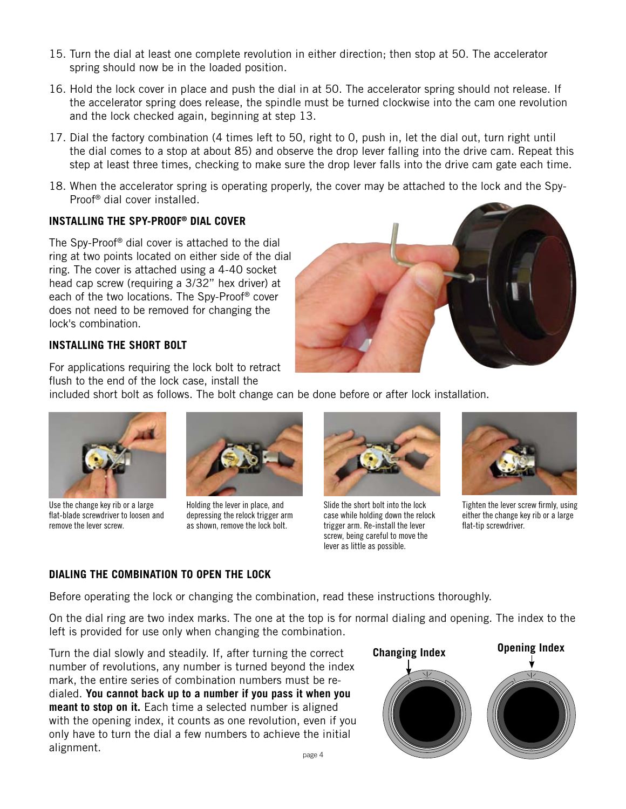- 15. Turn the dial at least one complete revolution in either direction; then stop at 50. The accelerator spring should now be in the loaded position.
- 16. Hold the lock cover in place and push the dial in at 50. The accelerator spring should not release. If the accelerator spring does release, the spindle must be turned clockwise into the cam one revolution and the lock checked again, beginning at step 13.
- 17. Dial the factory combination (4 times left to 50, right to 0, push in, let the dial out, turn right until the dial comes to a stop at about 85) and observe the drop lever falling into the drive cam. Repeat this step at least three times, checking to make sure the drop lever falls into the drive cam gate each time.
- 18. When the accelerator spring is operating properly, the cover may be attached to the lock and the Spy-Proof® dial cover installed.

# **INSTALLING THE SPY-PROOF® DIAL COVER**

The Spy-Proof® dial cover is attached to the dial ring at two points located on either side of the dial ring. The cover is attached using a 4-40 socket head cap screw (requiring a 3/32" hex driver) at each of the two locations. The Spy-Proof® cover does not need to be removed for changing the lock's combination.



# **INSTALLING THE SHORT BOLT**

For applications requiring the lock bolt to retract flush to the end of the lock case, install the

included short bolt as follows. The bolt change can be done before or after lock installation.



Use the change key rib or a large flat-blade screwdriver to loosen and remove the lever screw.



Holding the lever in place, and depressing the relock trigger arm as shown, remove the lock bolt.



Slide the short bolt into the lock case while holding down the relock trigger arm. Re-install the lever screw, being careful to move the lever as little as possible.



Tighten the lever screw firmly, using either the change key rib or a large flat-tip screwdriver.

# **DIALING THE COMBINATION TO OPEN THE LOCK**

Before operating the lock or changing the combination, read these instructions thoroughly.

On the dial ring are two index marks. The one at the top is for normal dialing and opening. The index to the left is provided for use only when changing the combination.

page 4 Turn the dial slowly and steadily. If, after turning the correct number of revolutions, any number is turned beyond the index mark, the entire series of combination numbers must be redialed. **You cannot back up to a number if you pass it when you meant to stop on it.** Each time a selected number is aligned with the opening index, it counts as one revolution, even if you only have to turn the dial a few numbers to achieve the initial alignment.

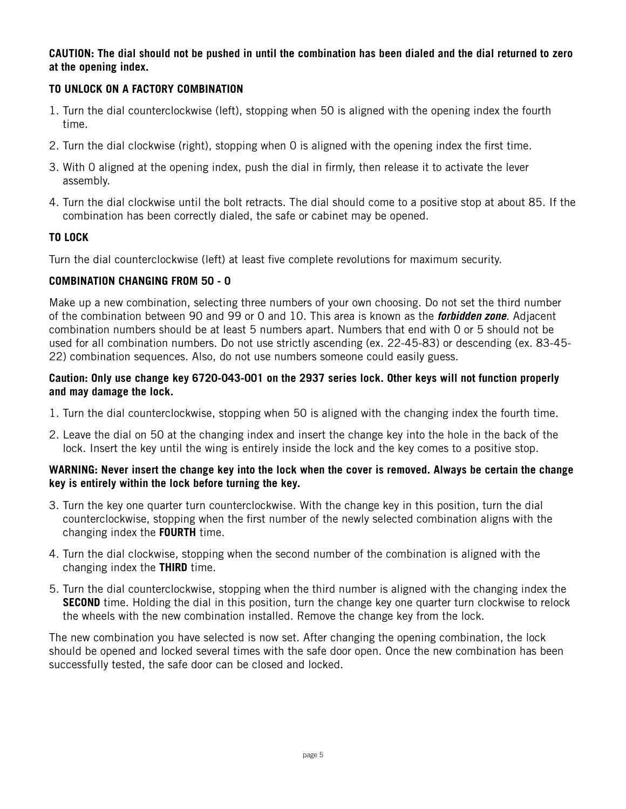# **CAUTION: The dial should not be pushed in until the combination has been dialed and the dial returned to zero at the opening index.**

# **TO UNLOCK ON A FACTORY COMBINATION**

- 1. Turn the dial counterclockwise (left), stopping when 50 is aligned with the opening index the fourth time.
- 2. Turn the dial clockwise (right), stopping when 0 is aligned with the opening index the first time.
- 3. With 0 aligned at the opening index, push the dial in firmly, then release it to activate the lever assembly.
- 4. Turn the dial clockwise until the bolt retracts. The dial should come to a positive stop at about 85. If the combination has been correctly dialed, the safe or cabinet may be opened.

# **TO LOCK**

Turn the dial counterclockwise (left) at least five complete revolutions for maximum security.

# **COMBINATION CHANGING FROM 50 - 0**

Make up a new combination, selecting three numbers of your own choosing. Do not set the third number of the combination between 90 and 99 or 0 and 10. This area is known as the *forbidden zone*. Adjacent combination numbers should be at least 5 numbers apart. Numbers that end with 0 or 5 should not be used for all combination numbers. Do not use strictly ascending (ex. 22-45-83) or descending (ex. 83-45- 22) combination sequences. Also, do not use numbers someone could easily guess.

# **Caution: Only use change key 6720-043-001 on the 2937 series lock. Other keys will not function properly and may damage the lock.**

- 1. Turn the dial counterclockwise, stopping when 50 is aligned with the changing index the fourth time.
- 2. Leave the dial on 50 at the changing index and insert the change key into the hole in the back of the lock. Insert the key until the wing is entirely inside the lock and the key comes to a positive stop.

# **WARNING: Never insert the change key into the lock when the cover is removed. Always be certain the change key is entirely within the lock before turning the key.**

- 3. Turn the key one quarter turn counterclockwise. With the change key in this position, turn the dial counterclockwise, stopping when the first number of the newly selected combination aligns with the changing index the **FOURTH** time.
- 4. Turn the dial clockwise, stopping when the second number of the combination is aligned with the changing index the **THIRD** time.
- 5. Turn the dial counterclockwise, stopping when the third number is aligned with the changing index the **SECOND** time. Holding the dial in this position, turn the change key one quarter turn clockwise to relock the wheels with the new combination installed. Remove the change key from the lock.

The new combination you have selected is now set. After changing the opening combination, the lock should be opened and locked several times with the safe door open. Once the new combination has been successfully tested, the safe door can be closed and locked.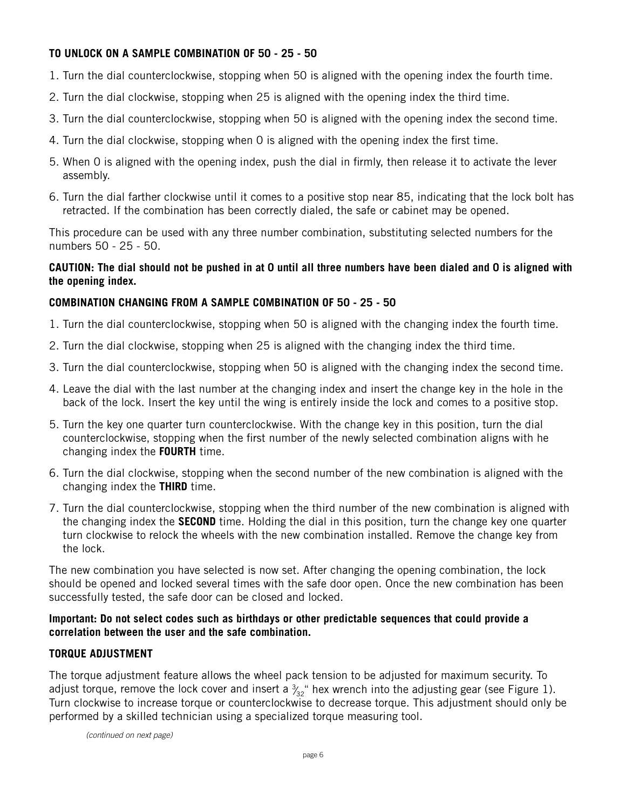# **TO UNLOCK ON A SAMPLE COMBINATION OF 50 - 25 - 50**

- 1. Turn the dial counterclockwise, stopping when 50 is aligned with the opening index the fourth time.
- 2. Turn the dial clockwise, stopping when 25 is aligned with the opening index the third time.
- 3. Turn the dial counterclockwise, stopping when 50 is aligned with the opening index the second time.
- 4. Turn the dial clockwise, stopping when 0 is aligned with the opening index the first time.
- 5. When 0 is aligned with the opening index, push the dial in firmly, then release it to activate the lever assembly.
- 6. Turn the dial farther clockwise until it comes to a positive stop near 85, indicating that the lock bolt has retracted. If the combination has been correctly dialed, the safe or cabinet may be opened.

This procedure can be used with any three number combination, substituting selected numbers for the numbers 50 - 25 - 50.

# **CAUTION: The dial should not be pushed in at 0 until all three numbers have been dialed and 0 is aligned with the opening index.**

# **COMBINATION CHANGING FROM A SAMPLE COMBINATION OF 50 - 25 - 50**

- 1. Turn the dial counterclockwise, stopping when 50 is aligned with the changing index the fourth time.
- 2. Turn the dial clockwise, stopping when 25 is aligned with the changing index the third time.
- 3. Turn the dial counterclockwise, stopping when 50 is aligned with the changing index the second time.
- 4. Leave the dial with the last number at the changing index and insert the change key in the hole in the back of the lock. Insert the key until the wing is entirely inside the lock and comes to a positive stop.
- 5. Turn the key one quarter turn counterclockwise. With the change key in this position, turn the dial counterclockwise, stopping when the first number of the newly selected combination aligns with he changing index the **FOURTH** time.
- 6. Turn the dial clockwise, stopping when the second number of the new combination is aligned with the changing index the **THIRD** time.
- 7. Turn the dial counterclockwise, stopping when the third number of the new combination is aligned with the changing index the **SECOND** time. Holding the dial in this position, turn the change key one quarter turn clockwise to relock the wheels with the new combination installed. Remove the change key from the lock.

The new combination you have selected is now set. After changing the opening combination, the lock should be opened and locked several times with the safe door open. Once the new combination has been successfully tested, the safe door can be closed and locked.

# **Important: Do not select codes such as birthdays or other predictable sequences that could provide a correlation between the user and the safe combination.**

# **TORQUE ADJUSTMENT**

The torque adjustment feature allows the wheel pack tension to be adjusted for maximum security. To adjust torque, remove the lock cover and insert a  $\frac{3}{32}$ " hex wrench into the adjusting gear (see Figure 1). ⁄ Turn clockwise to increase torque or counterclockwise to decrease torque. This adjustment should only be performed by a skilled technician using a specialized torque measuring tool.

*(continued on next page)*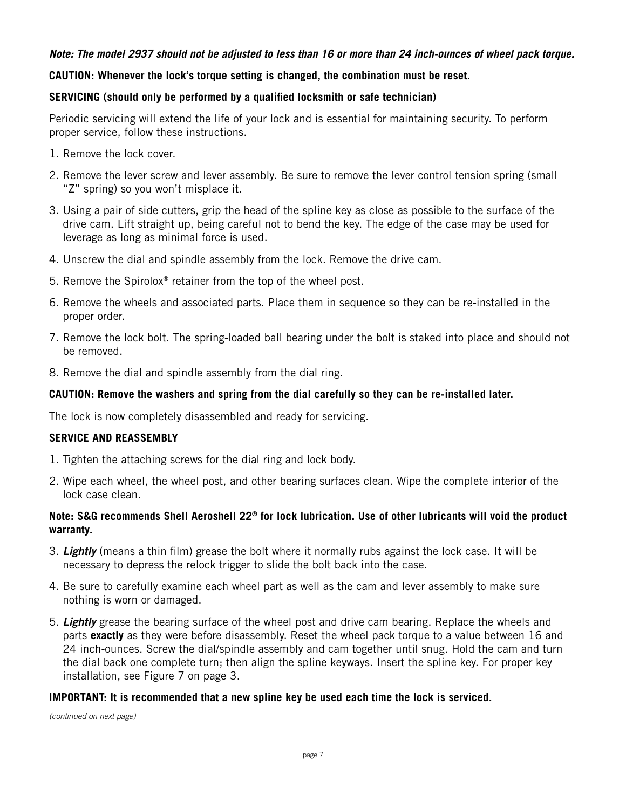# *Note: The model 2937 should not be adjusted to less than 16 or more than 24 inch-ounces of wheel pack torque.*

# **CAUTION: Whenever the lock's torque setting is changed, the combination must be reset.**

# **SERVICING (should only be performed by a qualified locksmith or safe technician)**

Periodic servicing will extend the life of your lock and is essential for maintaining security. To perform proper service, follow these instructions.

- 1. Remove the lock cover.
- 2. Remove the lever screw and lever assembly. Be sure to remove the lever control tension spring (small "Z" spring) so you won't misplace it.
- 3. Using a pair of side cutters, grip the head of the spline key as close as possible to the surface of the drive cam. Lift straight up, being careful not to bend the key. The edge of the case may be used for leverage as long as minimal force is used.
- 4. Unscrew the dial and spindle assembly from the lock. Remove the drive cam.
- 5. Remove the Spirolox® retainer from the top of the wheel post.
- 6. Remove the wheels and associated parts. Place them in sequence so they can be re-installed in the proper order.
- 7. Remove the lock bolt. The spring-loaded ball bearing under the bolt is staked into place and should not be removed.
- 8. Remove the dial and spindle assembly from the dial ring.

# **CAUTION: Remove the washers and spring from the dial carefully so they can be re-installed later.**

The lock is now completely disassembled and ready for servicing.

# **SERVICE AND REASSEMBLY**

- 1. Tighten the attaching screws for the dial ring and lock body.
- 2. Wipe each wheel, the wheel post, and other bearing surfaces clean. Wipe the complete interior of the lock case clean.

#### **Note: S&G recommends Shell Aeroshell 22® for lock lubrication. Use of other lubricants will void the product warranty.**

- 3. *Lightly* (means a thin film) grease the bolt where it normally rubs against the lock case. It will be necessary to depress the relock trigger to slide the bolt back into the case.
- 4. Be sure to carefully examine each wheel part as well as the cam and lever assembly to make sure nothing is worn or damaged.
- 5. *Lightly* grease the bearing surface of the wheel post and drive cam bearing. Replace the wheels and parts **exactly** as they were before disassembly. Reset the wheel pack torque to a value between 16 and 24 inch-ounces. Screw the dial/spindle assembly and cam together until snug. Hold the cam and turn the dial back one complete turn; then align the spline keyways. Insert the spline key. For proper key installation, see Figure 7 on page 3.

#### **IMPORTANT: It is recommended that a new spline key be used each time the lock is serviced.**

*(continued on next page)*